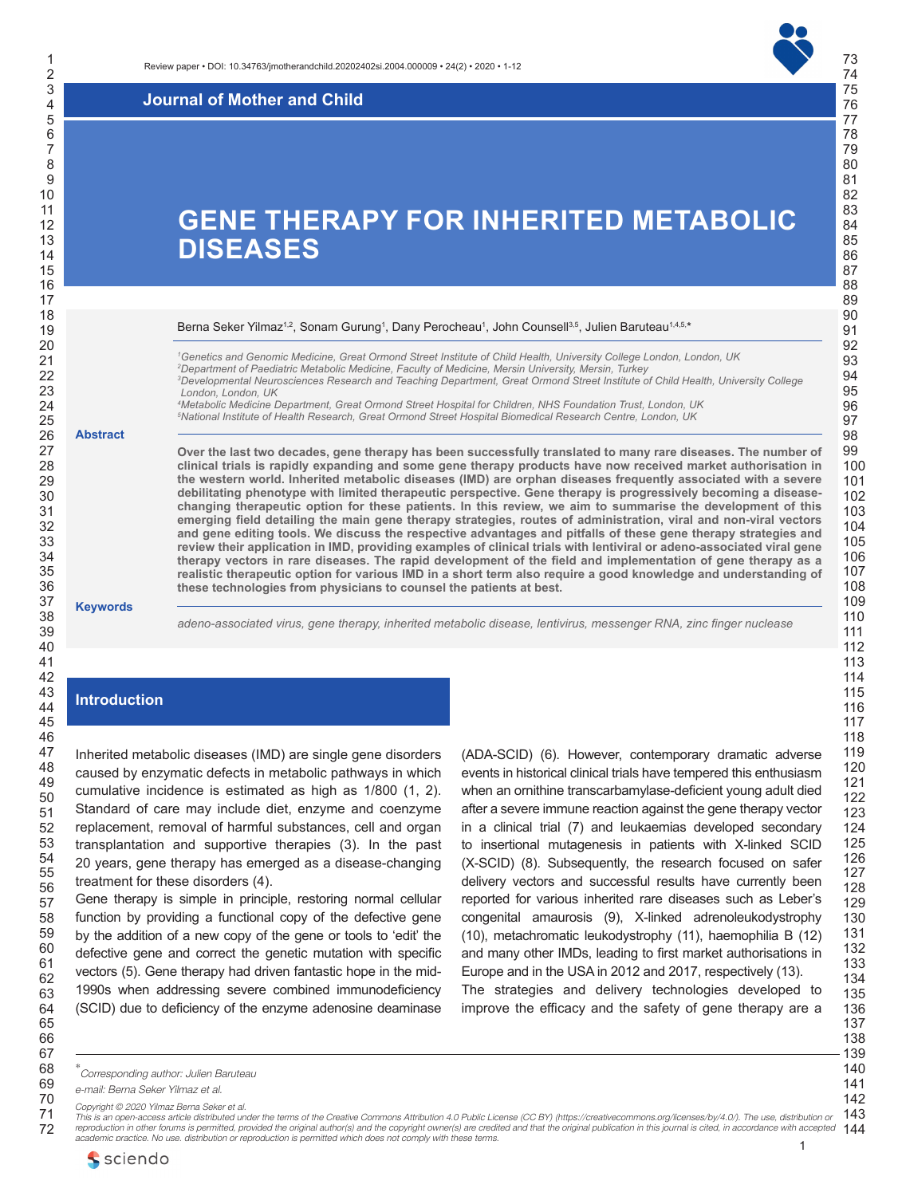

**Journal of Mother and Child** 

# **GENE THERAPY FOR INHERITED METABOLIC DISEASES**

Berna Seker Yilmaz<sup>1,2</sup>, Sonam Gurung<sup>1</sup>, Dany Perocheau<sup>1</sup>, John Counsell<sup>3,5</sup>, Julien Baruteau<sup>1,4,5,</sup>\*

 *Genetics and Genomic Medicine, Great Ormond Street Institute of Child Health, University College London, London, UK Department of Paediatric Metabolic Medicine, Faculty of Medicine, Mersin University, Mersin, Turkey Developmental Neurosciences Research and Teaching Department, Great Ormond Street Institute of Child Health, University College London, London, UK Metabolic Medicine Department, Great Ormond Street Hospital for Children, NHS Foundation Trust, London, UK*

*National Institute of Health Research, Great Ormond Street Hospital Biomedical Research Centre, London, UK*

**Over the last two decades, gene therapy has been successfully translated to many rare diseases. The number of clinical trials is rapidly expanding and some gene therapy products have now received market authorisation in the western world. Inherited metabolic diseases (IMD) are orphan diseases frequently associated with a severe debilitating phenotype with limited therapeutic perspective. Gene therapy is progressively becoming a diseasechanging therapeutic option for these patients. In this review, we aim to summarise the development of this emerging field detailing the main gene therapy strategies, routes of administration, viral and non-viral vectors and gene editing tools. We discuss the respective advantages and pitfalls of these gene therapy strategies and review their application in IMD, providing examples of clinical trials with lentiviral or adeno-associated viral gene therapy vectors in rare diseases. The rapid development of the field and implementation of gene therapy as a realistic therapeutic option for various IMD in a short term also require a good knowledge and understanding of these technologies from physicians to counsel the patients at best.**

## **Keywords**

**Abstract**

*adeno-associated virus, gene therapy, inherited metabolic disease, lentivirus, messenger RNA, zinc finger nuclease*

# **Introduction**

Inherited metabolic diseases (IMD) are single gene disorders caused by enzymatic defects in metabolic pathways in which cumulative incidence is estimated as high as 1/800 (1, 2). Standard of care may include diet, enzyme and coenzyme replacement, removal of harmful substances, cell and organ transplantation and supportive therapies (3). In the past years, gene therapy has emerged as a disease-changing treatment for these disorders (4).

Gene therapy is simple in principle, restoring normal cellular function by providing a functional copy of the defective gene by the addition of a new copy of the gene or tools to 'edit' the defective gene and correct the genetic mutation with specific vectors (5). Gene therapy had driven fantastic hope in the mid-1990s when addressing severe combined immunodeficiency (SCID) due to deficiency of the enzyme adenosine deaminase (ADA-SCID) (6). However, contemporary dramatic adverse events in historical clinical trials have tempered this enthusiasm when an ornithine transcarbamylase-deficient young adult died after a severe immune reaction against the gene therapy vector in a clinical trial (7) and leukaemias developed secondary to insertional mutagenesis in patients with X-linked SCID (X-SCID) (8). Subsequently, the research focused on safer delivery vectors and successful results have currently been reported for various inherited rare diseases such as Leber's congenital amaurosis (9), X-linked adrenoleukodystrophy (10), metachromatic leukodystrophy (11), haemophilia B (12) and many other IMDs, leading to first market authorisations in Europe and in the USA in 2012 and 2017, respectively (13). The strategies and delivery technologies developed to improve the efficacy and the safety of gene therapy are a

 

\* *Corresponding author: Julien Baruteau*

*e-mail: Berna Seker Yilmaz et al.*

*Copyright © 2020 Yilmaz Berna Seker et al.*

 reproduction in other forums is permitted, provided the original author(s) and the copyright owner(s) are credited and that the original publication in this journal is cited, in accordance with accepted *144 This is an open-access article distributed under the terms of the Creative Commons Attribution 4.0 Public License (CC BY) (https://creativecommons.org/licenses/by/4.0/). The use, distribution or aractice. No use, distribution or reproduction is permitted which does not comply with these terms.*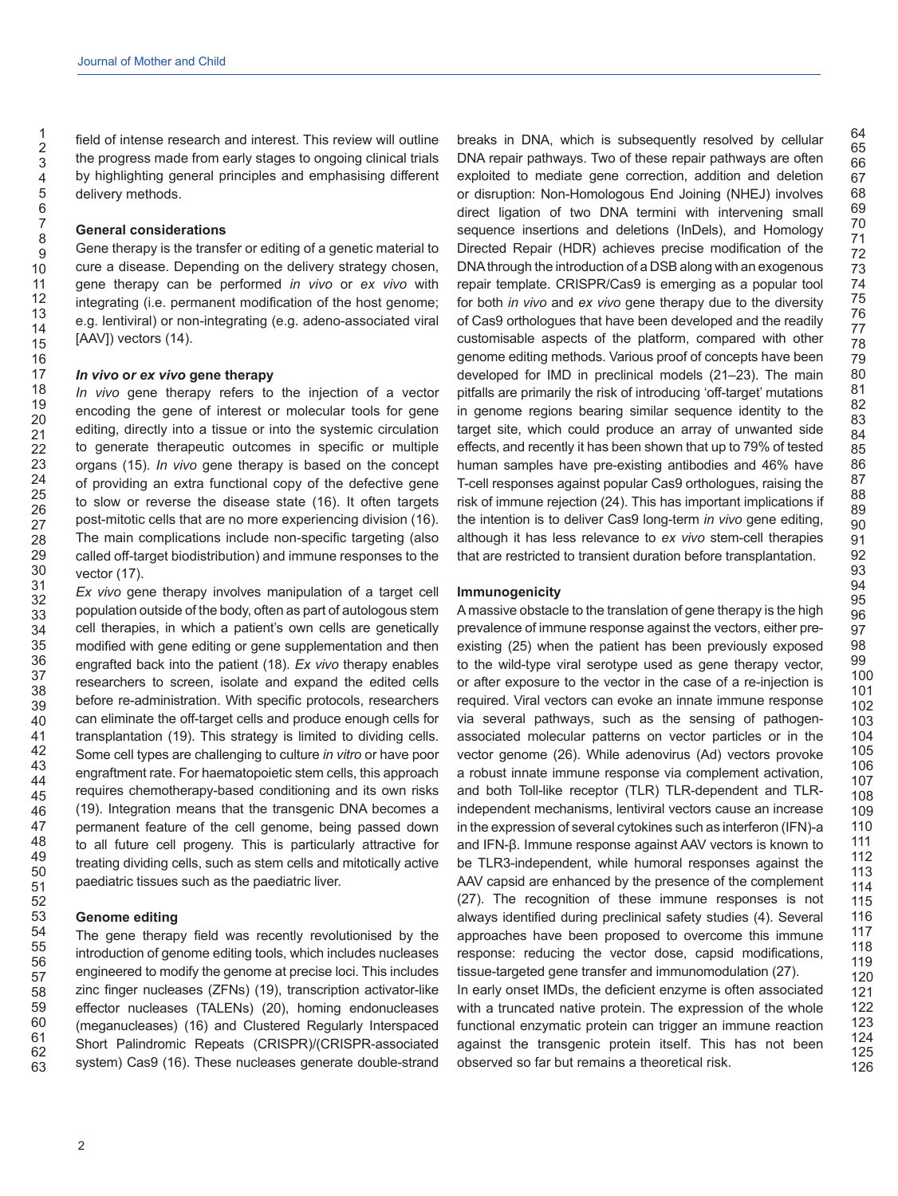field of intense research and interest. This review will outline the progress made from early stages to ongoing clinical trials by highlighting general principles and emphasising different delivery methods.

#### **General considerations**

Gene therapy is the transfer or editing of a genetic material to cure a disease. Depending on the delivery strategy chosen, gene therapy can be performed *in vivo* or *ex vivo* with integrating (i.e. permanent modification of the host genome; e.g. lentiviral) or non-integrating (e.g. adeno-associated viral [AAV]) vectors (14).

#### *In vivo* **o***r ex vivo* **gene therapy**

*In vivo* gene therapy refers to the injection of a vector encoding the gene of interest or molecular tools for gene editing, directly into a tissue or into the systemic circulation to generate therapeutic outcomes in specific or multiple organs (15). *In vivo* gene therapy is based on the concept of providing an extra functional copy of the defective gene to slow or reverse the disease state (16). It often targets post-mitotic cells that are no more experiencing division (16). The main complications include non-specific targeting (also called off-target biodistribution) and immune responses to the vector (17).

*Ex vivo* gene therapy involves manipulation of a target cell population outside of the body, often as part of autologous stem cell therapies, in which a patient's own cells are genetically modified with gene editing or gene supplementation and then engrafted back into the patient (18). *Ex vivo* therapy enables researchers to screen, isolate and expand the edited cells before re-administration. With specific protocols, researchers can eliminate the off-target cells and produce enough cells for transplantation (19). This strategy is limited to dividing cells. Some cell types are challenging to culture *in vitro* or have poor engraftment rate. For haematopoietic stem cells, this approach requires chemotherapy-based conditioning and its own risks (19). Integration means that the transgenic DNA becomes a permanent feature of the cell genome, being passed down to all future cell progeny. This is particularly attractive for treating dividing cells, such as stem cells and mitotically active paediatric tissues such as the paediatric liver.

## **Genome editing**

The gene therapy field was recently revolutionised by the introduction of genome editing tools, which includes nucleases engineered to modify the genome at precise loci. This includes zinc finger nucleases (ZFNs) (19), transcription activator-like effector nucleases (TALENs) (20), homing endonucleases (meganucleases) (16) and Clustered Regularly Interspaced Short Palindromic Repeats (CRISPR)/(CRISPR-associated system) Cas9 (16). These nucleases generate double-strand breaks in DNA, which is subsequently resolved by cellular DNA repair pathways. Two of these repair pathways are often exploited to mediate gene correction, addition and deletion or disruption: Non-Homologous End Joining (NHEJ) involves direct ligation of two DNA termini with intervening small sequence insertions and deletions (InDels), and Homology Directed Repair (HDR) achieves precise modification of the DNA through the introduction of a DSB along with an exogenous repair template. CRISPR/Cas9 is emerging as a popular tool for both *in vivo* and *ex vivo* gene therapy due to the diversity of Cas9 orthologues that have been developed and the readily customisable aspects of the platform, compared with other genome editing methods. Various proof of concepts have been developed for IMD in preclinical models (21–23). The main pitfalls are primarily the risk of introducing 'off-target' mutations in genome regions bearing similar sequence identity to the target site, which could produce an array of unwanted side effects, and recently it has been shown that up to 79% of tested human samples have pre-existing antibodies and 46% have T-cell responses against popular Cas9 orthologues, raising the risk of immune rejection (24). This has important implications if the intention is to deliver Cas9 long-term *in vivo* gene editing, although it has less relevance to *ex vivo* stem-cell therapies that are restricted to transient duration before transplantation.

## **Immunogenicity**

A massive obstacle to the translation of gene therapy is the high prevalence of immune response against the vectors, either preexisting (25) when the patient has been previously exposed to the wild-type viral serotype used as gene therapy vector, or after exposure to the vector in the case of a re-injection is required. Viral vectors can evoke an innate immune response via several pathways, such as the sensing of pathogenassociated molecular patterns on vector particles or in the vector genome (26). While adenovirus (Ad) vectors provoke a robust innate immune response via complement activation, and both Toll-like receptor (TLR) TLR-dependent and TLRindependent mechanisms, lentiviral vectors cause an increase in the expression of several cytokines such as interferon (IFN)-a and IFN-β. Immune response against AAV vectors is known to be TLR3-independent, while humoral responses against the AAV capsid are enhanced by the presence of the complement (27). The recognition of these immune responses is not always identified during preclinical safety studies (4). Several approaches have been proposed to overcome this immune response: reducing the vector dose, capsid modifications, tissue-targeted gene transfer and immunomodulation (27).

In early onset IMDs, the deficient enzyme is often associated with a truncated native protein. The expression of the whole functional enzymatic protein can trigger an immune reaction against the transgenic protein itself. This has not been observed so far but remains a theoretical risk.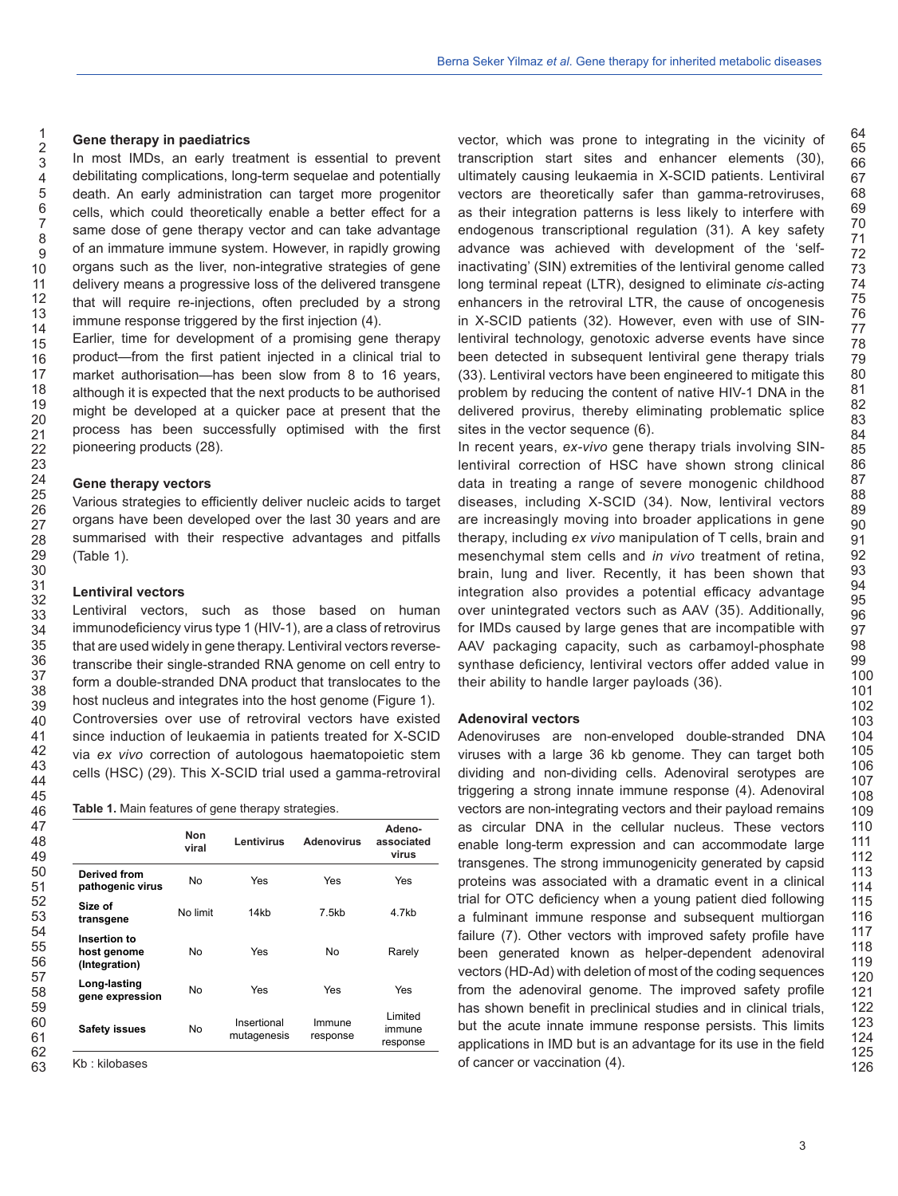#### **Gene therapy in paediatrics**

In most IMDs, an early treatment is essential to prevent debilitating complications, long-term sequelae and potentially death. An early administration can target more progenitor cells, which could theoretically enable a better effect for a same dose of gene therapy vector and can take advantage of an immature immune system. However, in rapidly growing organs such as the liver, non-integrative strategies of gene delivery means a progressive loss of the delivered transgene that will require re-injections, often precluded by a strong immune response triggered by the first injection (4).

Earlier, time for development of a promising gene therapy product—from the first patient injected in a clinical trial to market authorisation—has been slow from 8 to 16 years, although it is expected that the next products to be authorised might be developed at a quicker pace at present that the process has been successfully optimised with the first pioneering products (28).

#### **Gene therapy vectors**

Various strategies to efficiently deliver nucleic acids to target organs have been developed over the last 30 years and are summarised with their respective advantages and pitfalls (Table 1).

#### **Lentiviral vectors**

Lentiviral vectors, such as those based on human immunodeficiency virus type 1 (HIV-1), are a class of retrovirus that are used widely in gene therapy. Lentiviral vectors reversetranscribe their single-stranded RNA genome on cell entry to form a double-stranded DNA product that translocates to the host nucleus and integrates into the host genome (Figure 1). Controversies over use of retroviral vectors have existed since induction of leukaemia in patients treated for X-SCID via *ex vivo* correction of autologous haematopoietic stem cells (HSC) (29). This X-SCID trial used a gamma-retroviral

|                                              | Non<br>viral | Lentivirus                 | <b>Adenovirus</b>  | Adeno-<br>associated<br>virus  |
|----------------------------------------------|--------------|----------------------------|--------------------|--------------------------------|
| <b>Derived from</b><br>pathogenic virus      | No           | Yes                        | Yes                | Yes                            |
| Size of<br>transgene                         | No limit     | 14kb                       | 7.5kb              | 4.7kb                          |
| Insertion to<br>host genome<br>(Integration) | No           | Yes                        | No                 | Rarely                         |
| Long-lasting<br>gene expression              | No           | Yes                        | Yes                | Yes                            |
| <b>Safety issues</b>                         | No           | Insertional<br>mutagenesis | Immune<br>response | I imited<br>immune<br>response |

Kb : kilobases

vector, which was prone to integrating in the vicinity of transcription start sites and enhancer elements (30), ultimately causing leukaemia in X-SCID patients. Lentiviral vectors are theoretically safer than gamma-retroviruses, as their integration patterns is less likely to interfere with endogenous transcriptional regulation (31). A key safety advance was achieved with development of the 'selfinactivating' (SIN) extremities of the lentiviral genome called long terminal repeat (LTR), designed to eliminate *cis*-acting enhancers in the retroviral LTR, the cause of oncogenesis in X-SCID patients (32). However, even with use of SINlentiviral technology, genotoxic adverse events have since been detected in subsequent lentiviral gene therapy trials (33). Lentiviral vectors have been engineered to mitigate this problem by reducing the content of native HIV-1 DNA in the delivered provirus, thereby eliminating problematic splice sites in the vector sequence (6).

In recent years, *ex-vivo* gene therapy trials involving SINlentiviral correction of HSC have shown strong clinical data in treating a range of severe monogenic childhood diseases, including X-SCID (34). Now, lentiviral vectors are increasingly moving into broader applications in gene therapy, including *ex vivo* manipulation of T cells, brain and mesenchymal stem cells and *in vivo* treatment of retina, brain, lung and liver. Recently, it has been shown that integration also provides a potential efficacy advantage over unintegrated vectors such as AAV (35). Additionally, for IMDs caused by large genes that are incompatible with AAV packaging capacity, such as carbamoyl-phosphate synthase deficiency, lentiviral vectors offer added value in their ability to handle larger payloads (36).

#### **Adenoviral vectors**

Adenoviruses are non-enveloped double-stranded DNA viruses with a large 36 kb genome. They can target both dividing and non-dividing cells. Adenoviral serotypes are triggering a strong innate immune response (4). Adenoviral vectors are non-integrating vectors and their payload remains as circular DNA in the cellular nucleus. These vectors enable long-term expression and can accommodate large transgenes. The strong immunogenicity generated by capsid proteins was associated with a dramatic event in a clinical trial for OTC deficiency when a young patient died following a fulminant immune response and subsequent multiorgan failure (7). Other vectors with improved safety profile have been generated known as helper-dependent adenoviral vectors (HD-Ad) with deletion of most of the coding sequences from the adenoviral genome. The improved safety profile has shown benefit in preclinical studies and in clinical trials, but the acute innate immune response persists. This limits applications in IMD but is an advantage for its use in the field of cancer or vaccination (4).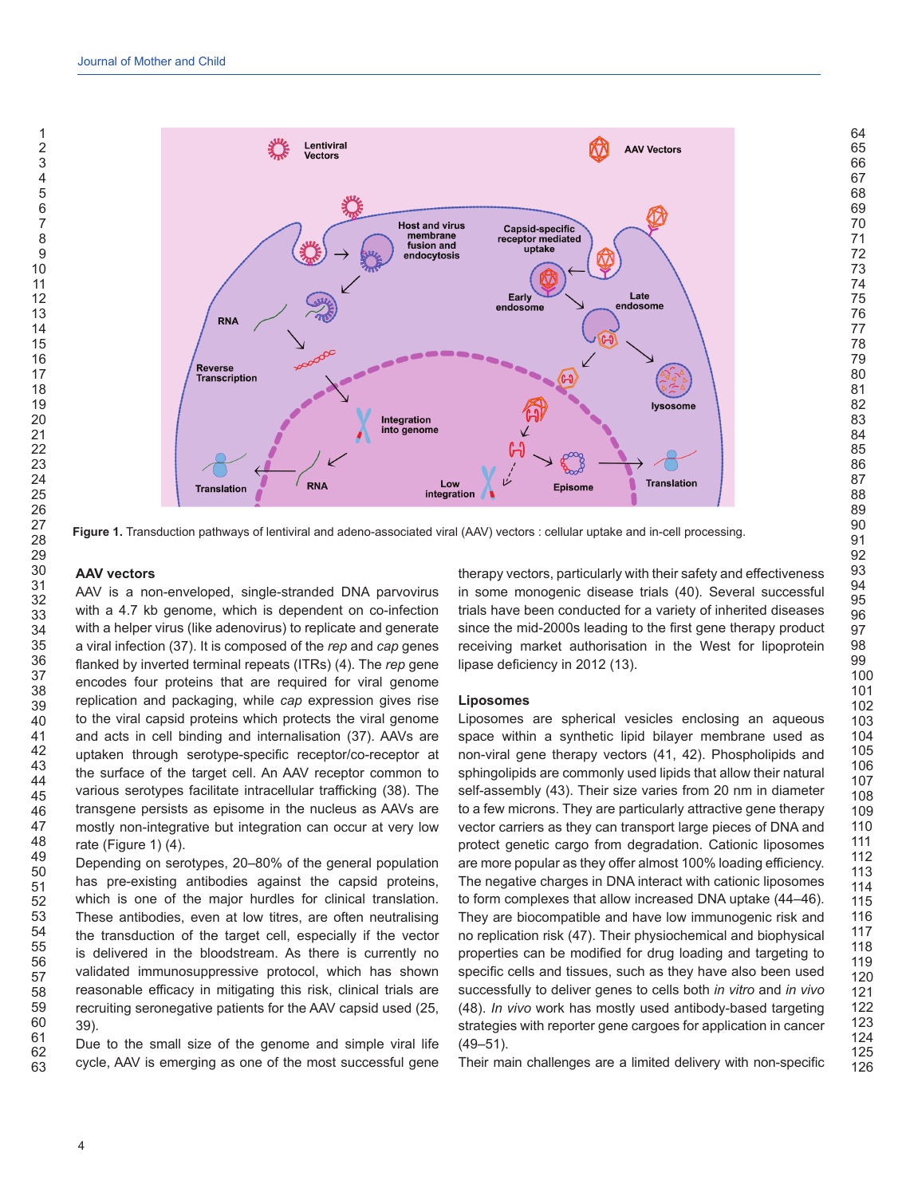

**Figure 1.** Transduction pathways of lentiviral and adeno-associated viral (AAV) vectors : cellular uptake and in-cell processing.

#### **AAV vectors**

AAV is a non-enveloped, single-stranded DNA parvovirus with a 4.7 kb genome, which is dependent on co-infection with a helper virus (like adenovirus) to replicate and generate a viral infection (37). It is composed of the *rep* and *cap* genes flanked by inverted terminal repeats (ITRs) (4). The *rep* gene encodes four proteins that are required for viral genome replication and packaging, while *cap* expression gives rise to the viral capsid proteins which protects the viral genome and acts in cell binding and internalisation (37). AAVs are uptaken through serotype-specific receptor/co-receptor at the surface of the target cell. An AAV receptor common to various serotypes facilitate intracellular trafficking (38). The transgene persists as episome in the nucleus as AAVs are mostly non-integrative but integration can occur at very low rate (Figure 1) (4).

Depending on serotypes, 20–80% of the general population has pre-existing antibodies against the capsid proteins, which is one of the major hurdles for clinical translation. These antibodies, even at low titres, are often neutralising the transduction of the target cell, especially if the vector is delivered in the bloodstream. As there is currently no validated immunosuppressive protocol, which has shown reasonable efficacy in mitigating this risk, clinical trials are recruiting seronegative patients for the AAV capsid used (25, 39).

Due to the small size of the genome and simple viral life cycle, AAV is emerging as one of the most successful gene therapy vectors, particularly with their safety and effectiveness in some monogenic disease trials (40). Several successful trials have been conducted for a variety of inherited diseases since the mid-2000s leading to the first gene therapy product receiving market authorisation in the West for lipoprotein lipase deficiency in 2012 (13).

#### **Liposomes**

Liposomes are spherical vesicles enclosing an aqueous space within a synthetic lipid bilayer membrane used as non-viral gene therapy vectors (41, 42). Phospholipids and sphingolipids are commonly used lipids that allow their natural self-assembly (43). Their size varies from 20 nm in diameter to a few microns. They are particularly attractive gene therapy vector carriers as they can transport large pieces of DNA and protect genetic cargo from degradation. Cationic liposomes are more popular as they offer almost 100% loading efficiency. The negative charges in DNA interact with cationic liposomes to form complexes that allow increased DNA uptake (44–46). They are biocompatible and have low immunogenic risk and no replication risk (47). Their physiochemical and biophysical properties can be modified for drug loading and targeting to specific cells and tissues, such as they have also been used successfully to deliver genes to cells both *in vitro* and *in vivo* (48). *In vivo* work has mostly used antibody-based targeting strategies with reporter gene cargoes for application in cancer  $(49 - 51)$ .

Their main challenges are a limited delivery with non-specific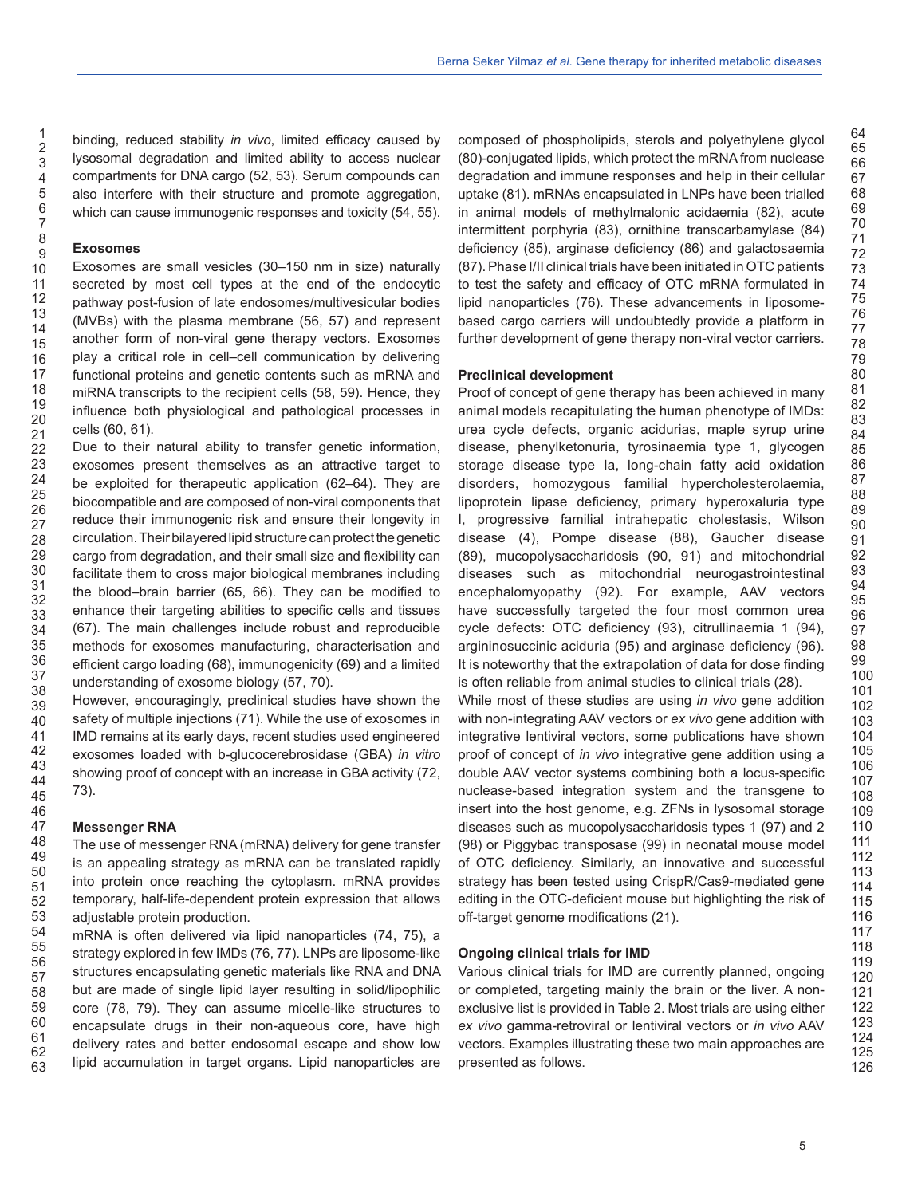binding, reduced stability *in vivo*, limited efficacy caused by lysosomal degradation and limited ability to access nuclear compartments for DNA cargo (52, 53). Serum compounds can also interfere with their structure and promote aggregation, which can cause immunogenic responses and toxicity (54, 55).

#### **Exosomes**

Exosomes are small vesicles (30–150 nm in size) naturally secreted by most cell types at the end of the endocytic pathway post-fusion of late endosomes/multivesicular bodies (MVBs) with the plasma membrane (56, 57) and represent another form of non-viral gene therapy vectors. Exosomes play a critical role in cell–cell communication by delivering functional proteins and genetic contents such as mRNA and miRNA transcripts to the recipient cells (58, 59). Hence, they influence both physiological and pathological processes in cells (60, 61).

Due to their natural ability to transfer genetic information, exosomes present themselves as an attractive target to be exploited for therapeutic application (62–64). They are biocompatible and are composed of non-viral components that reduce their immunogenic risk and ensure their longevity in circulation. Their bilayered lipid structure can protect the genetic cargo from degradation, and their small size and flexibility can facilitate them to cross major biological membranes including the blood–brain barrier (65, 66). They can be modified to enhance their targeting abilities to specific cells and tissues (67). The main challenges include robust and reproducible methods for exosomes manufacturing, characterisation and efficient cargo loading (68), immunogenicity (69) and a limited understanding of exosome biology (57, 70).

However, encouragingly, preclinical studies have shown the safety of multiple injections (71). While the use of exosomes in IMD remains at its early days, recent studies used engineered exosomes loaded with b-glucocerebrosidase (GBA) *in vitro* showing proof of concept with an increase in GBA activity (72, 73).

#### **Messenger RNA**

The use of messenger RNA (mRNA) delivery for gene transfer is an appealing strategy as mRNA can be translated rapidly into protein once reaching the cytoplasm. mRNA provides temporary, half-life-dependent protein expression that allows adjustable protein production.

mRNA is often delivered via lipid nanoparticles (74, 75), a strategy explored in few IMDs (76, 77). LNPs are liposome-like structures encapsulating genetic materials like RNA and DNA but are made of single lipid layer resulting in solid/lipophilic core (78, 79). They can assume micelle-like structures to encapsulate drugs in their non-aqueous core, have high delivery rates and better endosomal escape and show low lipid accumulation in target organs. Lipid nanoparticles are

composed of phospholipids, sterols and polyethylene glycol (80)-conjugated lipids, which protect the mRNA from nuclease degradation and immune responses and help in their cellular uptake (81). mRNAs encapsulated in LNPs have been trialled in animal models of methylmalonic acidaemia (82), acute intermittent porphyria (83), ornithine transcarbamylase (84) deficiency (85), arginase deficiency (86) and galactosaemia (87). Phase I/II clinical trials have been initiated in OTC patients to test the safety and efficacy of OTC mRNA formulated in lipid nanoparticles (76). These advancements in liposomebased cargo carriers will undoubtedly provide a platform in further development of gene therapy non-viral vector carriers.

#### **Preclinical development**

Proof of concept of gene therapy has been achieved in many animal models recapitulating the human phenotype of IMDs: urea cycle defects, organic acidurias, maple syrup urine disease, phenylketonuria, tyrosinaemia type 1, glycogen storage disease type Ia, long-chain fatty acid oxidation disorders, homozygous familial hypercholesterolaemia, lipoprotein lipase deficiency, primary hyperoxaluria type I, progressive familial intrahepatic cholestasis, Wilson disease (4), Pompe disease (88), Gaucher disease (89), mucopolysaccharidosis (90, 91) and mitochondrial diseases such as mitochondrial neurogastrointestinal encephalomyopathy (92). For example, AAV vectors have successfully targeted the four most common urea cycle defects: OTC deficiency (93), citrullinaemia 1 (94), argininosuccinic aciduria (95) and arginase deficiency (96). It is noteworthy that the extrapolation of data for dose finding is often reliable from animal studies to clinical trials (28).

While most of these studies are using *in vivo* gene addition with non-integrating AAV vectors or *ex vivo* gene addition with integrative lentiviral vectors, some publications have shown proof of concept of *in vivo* integrative gene addition using a double AAV vector systems combining both a locus-specific nuclease-based integration system and the transgene to insert into the host genome, e.g. ZFNs in lysosomal storage diseases such as mucopolysaccharidosis types 1 (97) and 2 (98) or Piggybac transposase (99) in neonatal mouse model of OTC deficiency. Similarly, an innovative and successful strategy has been tested using CrispR/Cas9-mediated gene editing in the OTC-deficient mouse but highlighting the risk of off-target genome modifications (21).

#### **Ongoing clinical trials for IMD**

Various clinical trials for IMD are currently planned, ongoing or completed, targeting mainly the brain or the liver. A nonexclusive list is provided in Table 2. Most trials are using either *ex vivo* gamma-retroviral or lentiviral vectors or *in vivo* AAV vectors. Examples illustrating these two main approaches are presented as follows.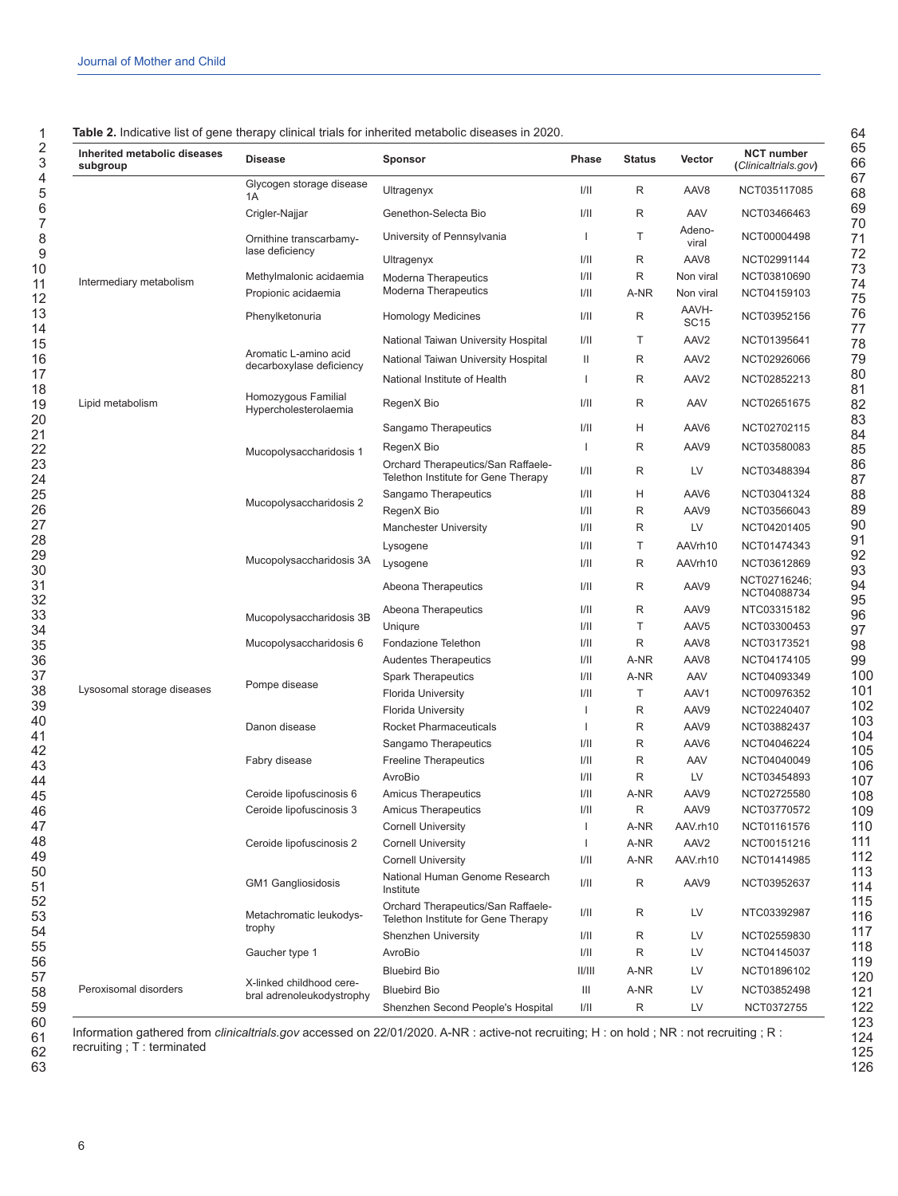| <b>Table 2.</b> Indicative list of gene therapy clinical trials for inherited metabolic diseases in 2020. |
|-----------------------------------------------------------------------------------------------------------|
|-----------------------------------------------------------------------------------------------------------|

| Inherited metabolic diseases<br>subgroup | <b>Disease</b>                                        | <b>Sponsor</b>                                                            | Phase        | <b>Status</b> | Vector               | <b>NCT number</b><br>(Clinicaltrials.gov) |
|------------------------------------------|-------------------------------------------------------|---------------------------------------------------------------------------|--------------|---------------|----------------------|-------------------------------------------|
|                                          | Glycogen storage disease<br>1A                        | Ultragenyx                                                                | I/II         | R             | AAV <sub>8</sub>     | NCT035117085                              |
|                                          | Crigler-Najjar                                        | Genethon-Selecta Bio                                                      | 1/11         | R             | AAV                  | NCT03466463                               |
|                                          | Ornithine transcarbamy-<br>lase deficiency            | University of Pennsylvania                                                | $\mathbf{I}$ | T             | Adeno-<br>viral      | NCT00004498                               |
|                                          |                                                       | Ultragenyx                                                                | 1/11         | R             | AAV8                 | NCT02991144                               |
| Intermediary metabolism                  | Methylmalonic acidaemia                               | Moderna Therapeutics                                                      | 1/11         | R             | Non viral            | NCT03810690                               |
|                                          | Propionic acidaemia                                   | <b>Moderna Therapeutics</b>                                               | 1/11         | A-NR          | Non viral            | NCT04159103                               |
|                                          | Phenylketonuria                                       | <b>Homology Medicines</b>                                                 | 1/11         | R             | AAVH-<br><b>SC15</b> | NCT03952156                               |
|                                          |                                                       | National Taiwan University Hospital                                       | 1/11         | Т             | AAV <sub>2</sub>     | NCT01395641                               |
|                                          | Aromatic L-amino acid                                 | National Taiwan University Hospital                                       | Ш            | R             | AAV <sub>2</sub>     | NCT02926066                               |
|                                          | decarboxylase deficiency                              | National Institute of Health                                              | ı            | R             | AAV <sub>2</sub>     | NCT02852213                               |
|                                          | Homozygous Familial                                   |                                                                           | 1/11         | R             |                      | NCT02651675                               |
| Lipid metabolism                         | Hypercholesterolaemia                                 | RegenX Bio                                                                |              |               | AAV                  |                                           |
|                                          |                                                       | Sangamo Therapeutics                                                      | 1/11         | н             | AAV6                 | NCT02702115                               |
|                                          | Mucopolysaccharidosis 1                               | RegenX Bio                                                                | $\mathbf{I}$ | R             | AAV9                 | NCT03580083                               |
|                                          |                                                       | Orchard Therapeutics/San Raffaele-<br>Telethon Institute for Gene Therapy | 1/11         | R             | LV                   | NCT03488394                               |
|                                          | Mucopolysaccharidosis 2<br>Mucopolysaccharidosis 3A   | Sangamo Therapeutics                                                      | 1/11         | н             | AAV6                 | NCT03041324                               |
|                                          |                                                       | RegenX Bio                                                                | 1/11         | R             | AAV9                 | NCT03566043                               |
|                                          |                                                       | <b>Manchester University</b>                                              | 1/11         | R             | LV                   | NCT04201405                               |
|                                          |                                                       | Lysogene                                                                  | 1/11         | Τ             | AAVrh10              | NCT01474343                               |
|                                          |                                                       | Lysogene                                                                  | 1/11         | R             | AAVrh10              | NCT03612869                               |
|                                          |                                                       | Abeona Therapeutics                                                       | 1/11         | R             | AAV9                 | NCT02716246;<br>NCT04088734               |
|                                          |                                                       | Abeona Therapeutics                                                       | 1/11         | R             | AAV9                 | NTC03315182                               |
|                                          | Mucopolysaccharidosis 3B                              | Uniqure                                                                   | 1/11         | Τ             | AAV <sub>5</sub>     | NCT03300453                               |
|                                          | Mucopolysaccharidosis 6                               | Fondazione Telethon                                                       | 1/11         | R             | AAV8                 | NCT03173521                               |
|                                          |                                                       | Audentes Therapeutics                                                     | 1/11         | A-NR          | AAV8                 | NCT04174105                               |
|                                          |                                                       | <b>Spark Therapeutics</b>                                                 | 1/11         | A-NR          | AAV                  | NCT04093349                               |
| Lysosomal storage diseases               | Pompe disease                                         | <b>Florida University</b>                                                 | 1/11         | Τ             | AAV1                 | NCT00976352                               |
|                                          |                                                       | <b>Florida University</b>                                                 | 1            | R             | AAV9                 | NCT02240407                               |
|                                          | Danon disease                                         | <b>Rocket Pharmaceuticals</b>                                             | $\mathbf{I}$ | R             | AAV9                 | NCT03882437                               |
|                                          |                                                       | Sangamo Therapeutics                                                      | 1/11         | R             | AAV6                 | NCT04046224                               |
|                                          | Fabry disease                                         | <b>Freeline Therapeutics</b>                                              | 1/11         | R             | AAV                  | NCT04040049                               |
|                                          |                                                       | AvroBio                                                                   | 1/11         | R             | LV                   | NCT03454893                               |
|                                          | Ceroide lipofuscinosis 6                              | <b>Amicus Therapeutics</b>                                                | 1/11         | A-NR          | AAV9                 | NCT02725580                               |
|                                          | Ceroide lipofuscinosis 3                              | <b>Amicus Therapeutics</b>                                                | 1/11         | R             | AAV9                 | NCT03770572                               |
|                                          | Ceroide lipofuscinosis 2                              | <b>Cornell University</b>                                                 | I            | A-NR          | AAV.rh10             | NCT01161576                               |
|                                          |                                                       | <b>Cornell University</b>                                                 | I            | A-NR          | AAV <sub>2</sub>     | NCT00151216                               |
|                                          |                                                       | <b>Cornell University</b>                                                 | 1/11         | A-NR          | AAV.rh10             | NCT01414985                               |
|                                          | <b>GM1 Gangliosidosis</b>                             | National Human Genome Research<br>Institute                               | 1/11         | R             | AAV9                 | NCT03952637                               |
|                                          | Metachromatic leukodys-<br>trophy                     | Orchard Therapeutics/San Raffaele-<br>Telethon Institute for Gene Therapy | I/II         | R             | LV                   | NTC03392987                               |
|                                          |                                                       | <b>Shenzhen University</b>                                                | 1/11         | R             | LV                   | NCT02559830                               |
|                                          | Gaucher type 1                                        | AvroBio                                                                   | 1/11         | R             | LV                   | NCT04145037                               |
| Peroxisomal disorders                    | X-linked childhood cere-<br>bral adrenoleukodystrophy | <b>Bluebird Bio</b>                                                       | II/III       | A-NR          | LV                   | NCT01896102                               |
|                                          |                                                       | <b>Bluebird Bio</b>                                                       | Ш            | A-NR          | LV                   | NCT03852498                               |
|                                          |                                                       | Shenzhen Second People's Hospital                                         | 1/11         | R             | LV                   | NCT0372755                                |

 

Information gathered from *clinicaltrials.gov* accessed on 22/01/2020. A-NR : active-not recruiting; H : on hold ; NR : not recruiting ; R : recruiting ; T : terminated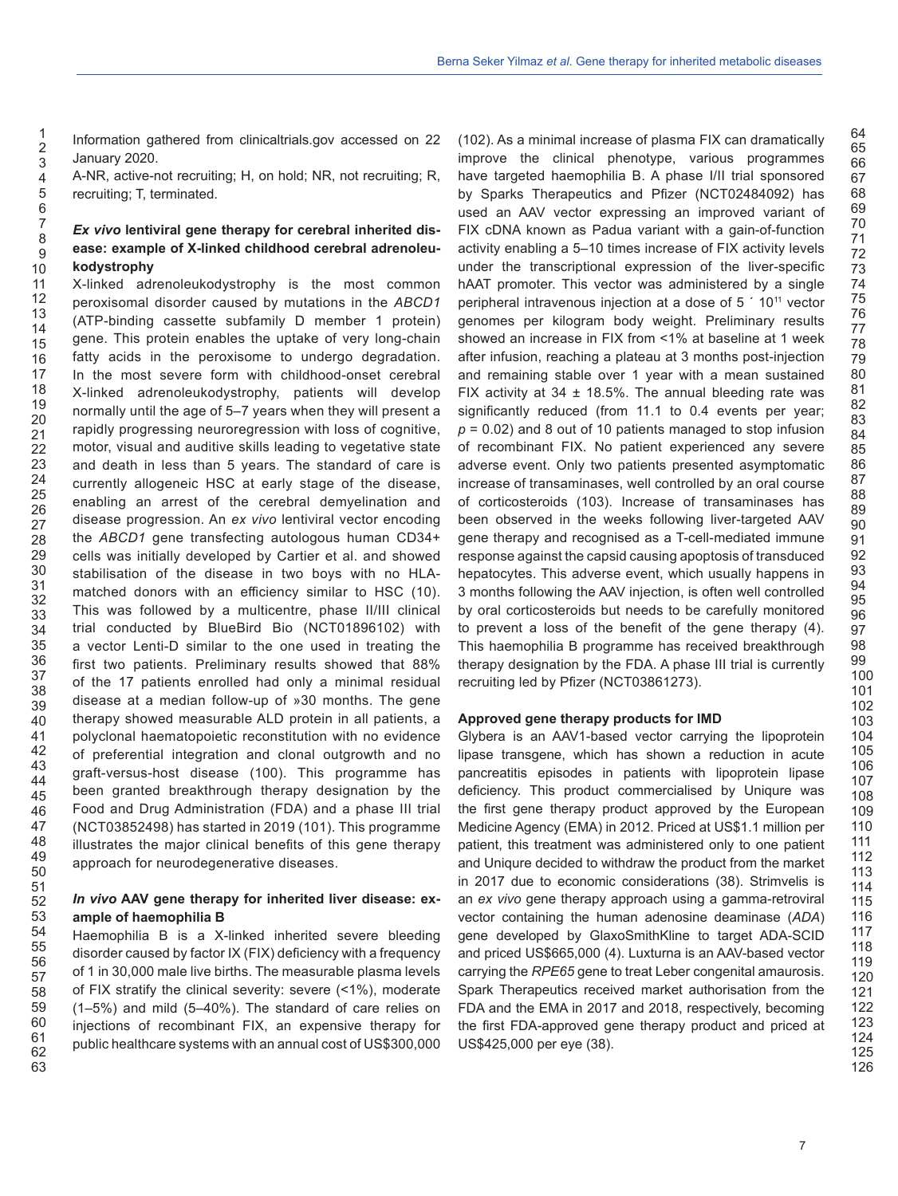Information gathered from clinicaltrials.gov accessed on 22 January 2020.

A-NR, active-not recruiting; H, on hold; NR, not recruiting; R, recruiting; T, terminated.

## *Ex vivo* **lentiviral gene therapy for cerebral inherited disease: example of X-linked childhood cerebral adrenoleukodystrophy**

X-linked adrenoleukodystrophy is the most common peroxisomal disorder caused by mutations in the *ABCD1* (ATP-binding cassette subfamily D member 1 protein) gene. This protein enables the uptake of very long-chain fatty acids in the peroxisome to undergo degradation. In the most severe form with childhood-onset cerebral X-linked adrenoleukodystrophy, patients will develop normally until the age of 5–7 years when they will present a rapidly progressing neuroregression with loss of cognitive, motor, visual and auditive skills leading to vegetative state and death in less than 5 years. The standard of care is currently allogeneic HSC at early stage of the disease, enabling an arrest of the cerebral demyelination and disease progression. An *ex vivo* lentiviral vector encoding the *ABCD1* gene transfecting autologous human CD34+ cells was initially developed by Cartier et al. and showed stabilisation of the disease in two boys with no HLAmatched donors with an efficiency similar to HSC (10). This was followed by a multicentre, phase II/III clinical trial conducted by BlueBird Bio (NCT01896102) with a vector Lenti-D similar to the one used in treating the first two patients. Preliminary results showed that 88% of the 17 patients enrolled had only a minimal residual disease at a median follow-up of »30 months. The gene therapy showed measurable ALD protein in all patients, a polyclonal haematopoietic reconstitution with no evidence of preferential integration and clonal outgrowth and no graft-versus-host disease (100). This programme has been granted breakthrough therapy designation by the Food and Drug Administration (FDA) and a phase III trial (NCT03852498) has started in 2019 (101). This programme illustrates the major clinical benefits of this gene therapy approach for neurodegenerative diseases.

## *In vivo* **AAV gene therapy for inherited liver disease: example of haemophilia B**

Haemophilia B is a X-linked inherited severe bleeding disorder caused by factor IX (FIX) deficiency with a frequency of 1 in 30,000 male live births. The measurable plasma levels of FIX stratify the clinical severity: severe (<1%), moderate (1–5%) and mild (5–40%). The standard of care relies on injections of recombinant FIX, an expensive therapy for public healthcare systems with an annual cost of US\$300,000 (102). As a minimal increase of plasma FIX can dramatically improve the clinical phenotype, various programmes have targeted haemophilia B. A phase I/II trial sponsored by Sparks Therapeutics and Pfizer (NCT02484092) has used an AAV vector expressing an improved variant of FIX cDNA known as Padua variant with a gain-of-function activity enabling a 5–10 times increase of FIX activity levels under the transcriptional expression of the liver-specific hAAT promoter. This vector was administered by a single peripheral intravenous injection at a dose of 5 ´ 1011 vector genomes per kilogram body weight. Preliminary results showed an increase in FIX from <1% at baseline at 1 week after infusion, reaching a plateau at 3 months post-injection and remaining stable over 1 year with a mean sustained FIX activity at  $34 \pm 18.5\%$ . The annual bleeding rate was significantly reduced (from 11.1 to 0.4 events per year; *p* = 0.02) and 8 out of 10 patients managed to stop infusion of recombinant FIX. No patient experienced any severe adverse event. Only two patients presented asymptomatic increase of transaminases, well controlled by an oral course of corticosteroids (103). Increase of transaminases has been observed in the weeks following liver-targeted AAV gene therapy and recognised as a T-cell-mediated immune response against the capsid causing apoptosis of transduced hepatocytes. This adverse event, which usually happens in 3 months following the AAV injection, is often well controlled by oral corticosteroids but needs to be carefully monitored to prevent a loss of the benefit of the gene therapy (4). This haemophilia B programme has received breakthrough therapy designation by the FDA. A phase III trial is currently recruiting led by Pfizer (NCT03861273).

## **Approved gene therapy products for IMD**

Glybera is an AAV1-based vector carrying the lipoprotein lipase transgene, which has shown a reduction in acute pancreatitis episodes in patients with lipoprotein lipase deficiency. This product commercialised by Uniqure was the first gene therapy product approved by the European Medicine Agency (EMA) in 2012. Priced at US\$1.1 million per patient, this treatment was administered only to one patient and Uniqure decided to withdraw the product from the market in 2017 due to economic considerations (38). Strimvelis is an *ex vivo* gene therapy approach using a gamma-retroviral vector containing the human adenosine deaminase (*ADA*) gene developed by GlaxoSmithKline to target ADA-SCID and priced US\$665,000 (4). Luxturna is an AAV-based vector carrying the *RPE65* gene to treat Leber congenital amaurosis. Spark Therapeutics received market authorisation from the FDA and the EMA in 2017 and 2018, respectively, becoming the first FDA-approved gene therapy product and priced at US\$425,000 per eye (38).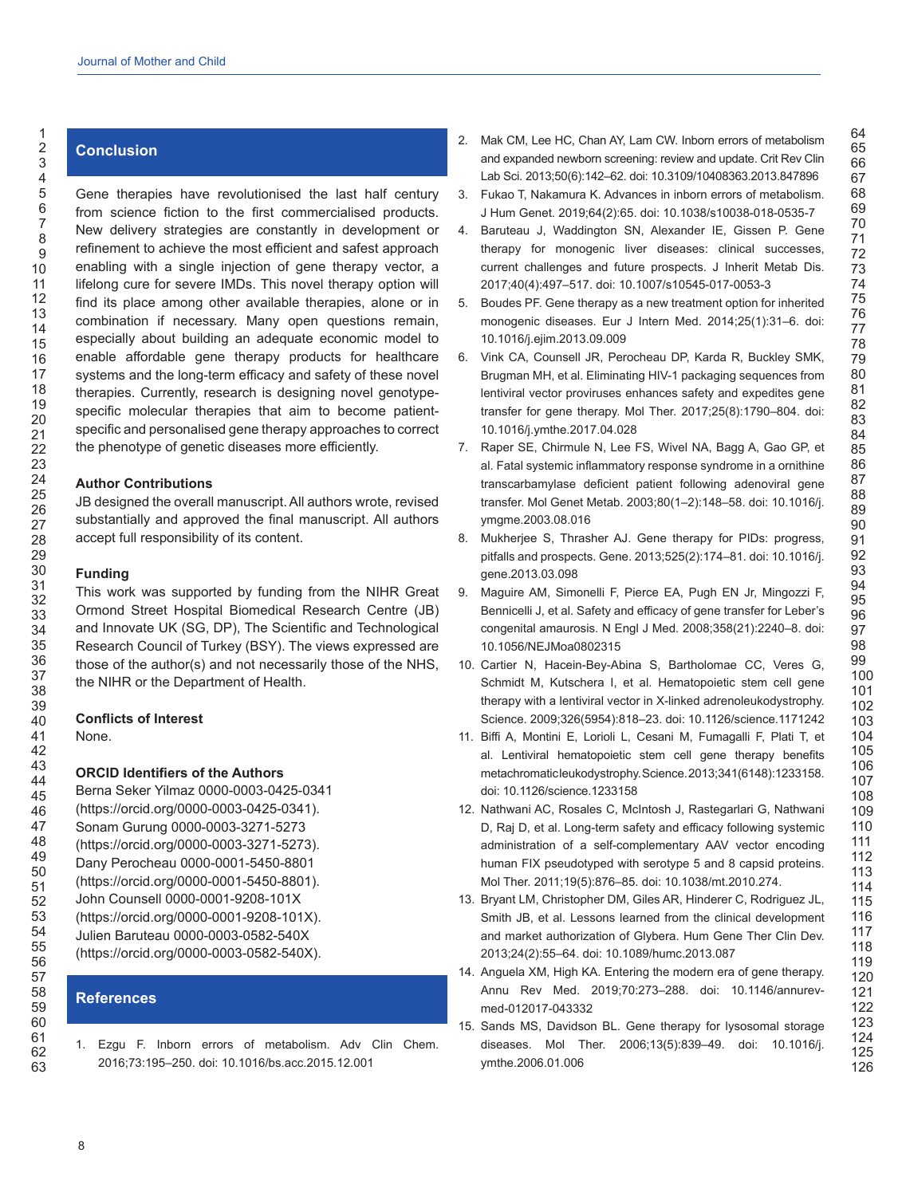# **Conclusion**

Gene therapies have revolutionised the last half century from science fiction to the first commercialised products. New delivery strategies are constantly in development or refinement to achieve the most efficient and safest approach enabling with a single injection of gene therapy vector, a lifelong cure for severe IMDs. This novel therapy option will find its place among other available therapies, alone or in combination if necessary. Many open questions remain, especially about building an adequate economic model to enable affordable gene therapy products for healthcare systems and the long-term efficacy and safety of these novel therapies. Currently, research is designing novel genotypespecific molecular therapies that aim to become patientspecific and personalised gene therapy approaches to correct the phenotype of genetic diseases more efficiently.

## **Author Contributions**

JB designed the overall manuscript. All authors wrote, revised substantially and approved the final manuscript. All authors accept full responsibility of its content.

## **Funding**

This work was supported by funding from the NIHR Great Ormond Street Hospital Biomedical Research Centre (JB) and Innovate UK (SG, DP), The Scientific and Technological Research Council of Turkey (BSY). The views expressed are those of the author(s) and not necessarily those of the NHS, the NIHR or the Department of Health.

## **Conflicts of Interest**

None.

## **ORCID Identifiers of the Authors**

Berna Seker Yilmaz 0000-0003-0425-0341 (https://orcid.org/0000-0003-0425-0341). Sonam Gurung 0000-0003-3271-5273 (https://orcid.org/0000-0003-3271-5273). Dany Perocheau 0000-0001-5450-8801 (https://orcid.org/0000-0001-5450-8801). John Counsell 0000-0001-9208-101X (https://orcid.org/0000-0001-9208-101X). Julien Baruteau 0000-0003-0582-540X (https://orcid.org/0000-0003-0582-540X).

# **References**

1. Ezgu F. Inborn errors of metabolism. Adv Clin Chem. 2016;73:195–250. doi: 10.1016/bs.acc.2015.12.001

2. Mak CM, Lee HC, Chan AY, Lam CW. Inborn errors of metabolism and expanded newborn screening: review and update. Crit Rev Clin Lab Sci. 2013;50(6):142–62. doi: 10.3109/10408363.2013.847896

- 3. Fukao T, Nakamura K. Advances in inborn errors of metabolism. J Hum Genet. 2019;64(2):65. doi: 10.1038/s10038-018-0535-7
- 4. Baruteau J, Waddington SN, Alexander IE, Gissen P. Gene therapy for monogenic liver diseases: clinical successes, current challenges and future prospects. J Inherit Metab Dis. 2017;40(4):497–517. doi: 10.1007/s10545-017-0053-3
- 5. Boudes PF. Gene therapy as a new treatment option for inherited monogenic diseases. Eur J Intern Med. 2014;25(1):31–6. doi: 10.1016/j.ejim.2013.09.009
- 6. Vink CA, Counsell JR, Perocheau DP, Karda R, Buckley SMK, Brugman MH, et al. Eliminating HIV-1 packaging sequences from lentiviral vector proviruses enhances safety and expedites gene transfer for gene therapy. Mol Ther. 2017;25(8):1790–804. doi: 10.1016/j.ymthe.2017.04.028
- 7. Raper SE, Chirmule N, Lee FS, Wivel NA, Bagg A, Gao GP, et al. Fatal systemic inflammatory response syndrome in a ornithine transcarbamylase deficient patient following adenoviral gene transfer. Mol Genet Metab. 2003;80(1–2):148–58. doi: 10.1016/j. ymgme.2003.08.016
- 8. Mukherjee S, Thrasher AJ. Gene therapy for PIDs: progress, pitfalls and prospects. Gene. 2013;525(2):174–81. doi: 10.1016/j. gene.2013.03.098
- 9. Maguire AM, Simonelli F, Pierce EA, Pugh EN Jr, Mingozzi F, Bennicelli J, et al. Safety and efficacy of gene transfer for Leber's congenital amaurosis. N Engl J Med. 2008;358(21):2240–8. doi: 10.1056/NEJMoa0802315
- 10. Cartier N, Hacein-Bey-Abina S, Bartholomae CC, Veres G, Schmidt M, Kutschera I, et al. Hematopoietic stem cell gene therapy with a lentiviral vector in X-linked adrenoleukodystrophy. Science. 2009;326(5954):818–23. doi: 10.1126/science.1171242
- 11. Biffi A, Montini E, Lorioli L, Cesani M, Fumagalli F, Plati T, et al. Lentiviral hematopoietic stem cell gene therapy benefits metachromatic leukodystrophy. Science. 2013;341(6148):1233158. doi: 10.1126/science.1233158
- 12. Nathwani AC, Rosales C, McIntosh J, Rastegarlari G, Nathwani D, Raj D, et al. Long-term safety and efficacy following systemic administration of a self-complementary AAV vector encoding human FIX pseudotyped with serotype 5 and 8 capsid proteins. Mol Ther. 2011;19(5):876–85. doi: 10.1038/mt.2010.274.
- 13. Bryant LM, Christopher DM, Giles AR, Hinderer C, Rodriguez JL, Smith JB, et al. Lessons learned from the clinical development and market authorization of Glybera. Hum Gene Ther Clin Dev. 2013;24(2):55–64. doi: 10.1089/humc.2013.087
- 14. Anguela XM, High KA. Entering the modern era of gene therapy. Annu Rev Med. 2019;70:273–288. doi: 10.1146/annurevmed-012017-043332
- 15. Sands MS, Davidson BL. Gene therapy for lysosomal storage diseases. Mol Ther. 2006;13(5):839–49. doi: 10.1016/j. ymthe.2006.01.006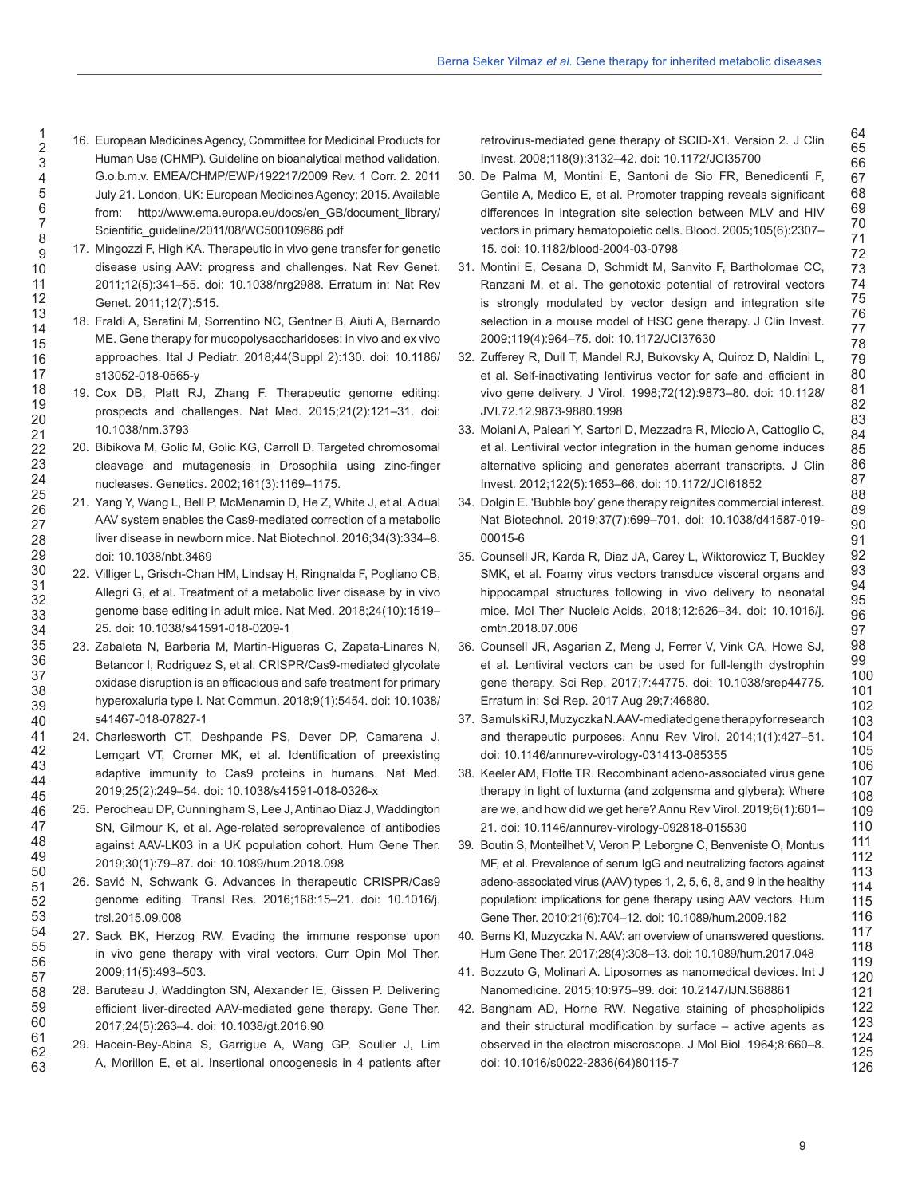- 16. European Medicines Agency, Committee for Medicinal Products for Human Use (CHMP). Guideline on bioanalytical method validation. G.o.b.m.v. EMEA/CHMP/EWP/192217/2009 Rev. 1 Corr. 2. 2011 July 21. London, UK: European Medicines Agency; 2015. Available from: http://www.ema.europa.eu/docs/en\_GB/document\_library/ Scientific\_guideline/2011/08/WC500109686.pdf
- 17. Mingozzi F, High KA. Therapeutic in vivo gene transfer for genetic disease using AAV: progress and challenges. Nat Rev Genet. 2011;12(5):341–55. doi: 10.1038/nrg2988. Erratum in: Nat Rev Genet. 2011;12(7):515.
- 18. Fraldi A, Serafini M, Sorrentino NC, Gentner B, Aiuti A, Bernardo ME. Gene therapy for mucopolysaccharidoses: in vivo and ex vivo approaches. Ital J Pediatr. 2018;44(Suppl 2):130. doi: 10.1186/ s13052-018-0565-y
- 19. Cox DB, Platt RJ, Zhang F. Therapeutic genome editing: prospects and challenges. Nat Med. 2015;21(2):121–31. doi: 10.1038/nm.3793
- 20. Bibikova M, Golic M, Golic KG, Carroll D. Targeted chromosomal cleavage and mutagenesis in Drosophila using zinc-finger nucleases. Genetics. 2002;161(3):1169–1175.
- 21. Yang Y, Wang L, Bell P, McMenamin D, He Z, White J, et al. A dual AAV system enables the Cas9-mediated correction of a metabolic liver disease in newborn mice. Nat Biotechnol. 2016;34(3):334–8. doi: 10.1038/nbt.3469
- 22. Villiger L, Grisch-Chan HM, Lindsay H, Ringnalda F, Pogliano CB, Allegri G, et al. Treatment of a metabolic liver disease by in vivo genome base editing in adult mice. Nat Med. 2018;24(10):1519– 25. doi: 10.1038/s41591-018-0209-1
- 23. Zabaleta N, Barberia M, Martin-Higueras C, Zapata-Linares N, Betancor I, Rodriguez S, et al. CRISPR/Cas9-mediated glycolate oxidase disruption is an efficacious and safe treatment for primary hyperoxaluria type I. Nat Commun. 2018;9(1):5454. doi: 10.1038/ s41467-018-07827-1
- 24. Charlesworth CT, Deshpande PS, Dever DP, Camarena J, Lemgart VT, Cromer MK, et al. Identification of preexisting adaptive immunity to Cas9 proteins in humans. Nat Med. 2019;25(2):249–54. doi: 10.1038/s41591-018-0326-x
- 25. Perocheau DP, Cunningham S, Lee J, Antinao Diaz J, Waddington SN, Gilmour K, et al. Age-related seroprevalence of antibodies against AAV-LK03 in a UK population cohort. Hum Gene Ther. 2019;30(1):79–87. doi: 10.1089/hum.2018.098
- 26. Savić N, Schwank G. Advances in therapeutic CRISPR/Cas9 genome editing. Transl Res. 2016;168:15–21. doi: 10.1016/j. trsl.2015.09.008
- 27. Sack BK, Herzog RW. Evading the immune response upon in vivo gene therapy with viral vectors. Curr Opin Mol Ther. 2009;11(5):493–503.
- 28. Baruteau J, Waddington SN, Alexander IE, Gissen P. Delivering efficient liver-directed AAV-mediated gene therapy. Gene Ther. 2017;24(5):263–4. doi: 10.1038/gt.2016.90
- 29. Hacein-Bey-Abina S, Garrigue A, Wang GP, Soulier J, Lim A, Morillon E, et al. Insertional oncogenesis in 4 patients after

retrovirus-mediated gene therapy of SCID-X1. Version 2. J Clin Invest. 2008;118(9):3132–42. doi: 10.1172/JCI35700

- 30. De Palma M, Montini E, Santoni de Sio FR, Benedicenti F, Gentile A, Medico E, et al. Promoter trapping reveals significant differences in integration site selection between MLV and HIV vectors in primary hematopoietic cells. Blood. 2005;105(6):2307– 15. doi: 10.1182/blood-2004-03-0798
- 31. Montini E, Cesana D, Schmidt M, Sanvito F, Bartholomae CC, Ranzani M, et al. The genotoxic potential of retroviral vectors is strongly modulated by vector design and integration site selection in a mouse model of HSC gene therapy. J Clin Invest. 2009;119(4):964–75. doi: 10.1172/JCI37630
- 32. Zufferey R, Dull T, Mandel RJ, Bukovsky A, Quiroz D, Naldini L, et al. Self-inactivating lentivirus vector for safe and efficient in vivo gene delivery. J Virol. 1998;72(12):9873–80. doi: 10.1128/ JVI.72.12.9873-9880.1998
- 33. Moiani A, Paleari Y, Sartori D, Mezzadra R, Miccio A, Cattoglio C, et al. Lentiviral vector integration in the human genome induces alternative splicing and generates aberrant transcripts. J Clin Invest. 2012;122(5):1653–66. doi: 10.1172/JCI61852
- 34. Dolgin E. 'Bubble boy' gene therapy reignites commercial interest. Nat Biotechnol. 2019;37(7):699–701. doi: 10.1038/d41587-019- 00015-6
- 35. Counsell JR, Karda R, Diaz JA, Carey L, Wiktorowicz T, Buckley SMK, et al. Foamy virus vectors transduce visceral organs and hippocampal structures following in vivo delivery to neonatal mice. Mol Ther Nucleic Acids. 2018;12:626–34. doi: 10.1016/j. omtn.2018.07.006
- 36. Counsell JR, Asgarian Z, Meng J, Ferrer V, Vink CA, Howe SJ, et al. Lentiviral vectors can be used for full-length dystrophin gene therapy. Sci Rep. 2017;7:44775. doi: 10.1038/srep44775. Erratum in: Sci Rep. 2017 Aug 29;7:46880.
- 37. Samulski RJ, Muzyczka N. AAV-mediated gene therapy for research and therapeutic purposes. Annu Rev Virol. 2014;1(1):427–51. doi: 10.1146/annurev-virology-031413-085355
- 38. Keeler AM, Flotte TR. Recombinant adeno-associated virus gene therapy in light of luxturna (and zolgensma and glybera): Where are we, and how did we get here? Annu Rev Virol. 2019;6(1):601– 21. doi: 10.1146/annurev-virology-092818-015530
- 39. Boutin S, Monteilhet V, Veron P, Leborgne C, Benveniste O, Montus MF, et al. Prevalence of serum IgG and neutralizing factors against adeno-associated virus (AAV) types 1, 2, 5, 6, 8, and 9 in the healthy population: implications for gene therapy using AAV vectors. Hum Gene Ther. 2010;21(6):704–12. doi: 10.1089/hum.2009.182
- 40. Berns KI, Muzyczka N. AAV: an overview of unanswered questions. Hum Gene Ther. 2017;28(4):308–13. doi: 10.1089/hum.2017.048
- 41. Bozzuto G, Molinari A. Liposomes as nanomedical devices. Int J Nanomedicine. 2015;10:975–99. doi: 10.2147/IJN.S68861
- 42. Bangham AD, Horne RW. Negative staining of phospholipids and their structural modification by surface – active agents as observed in the electron miscroscope. J Mol Biol. 1964;8:660–8. doi: 10.1016/s0022-2836(64)80115-7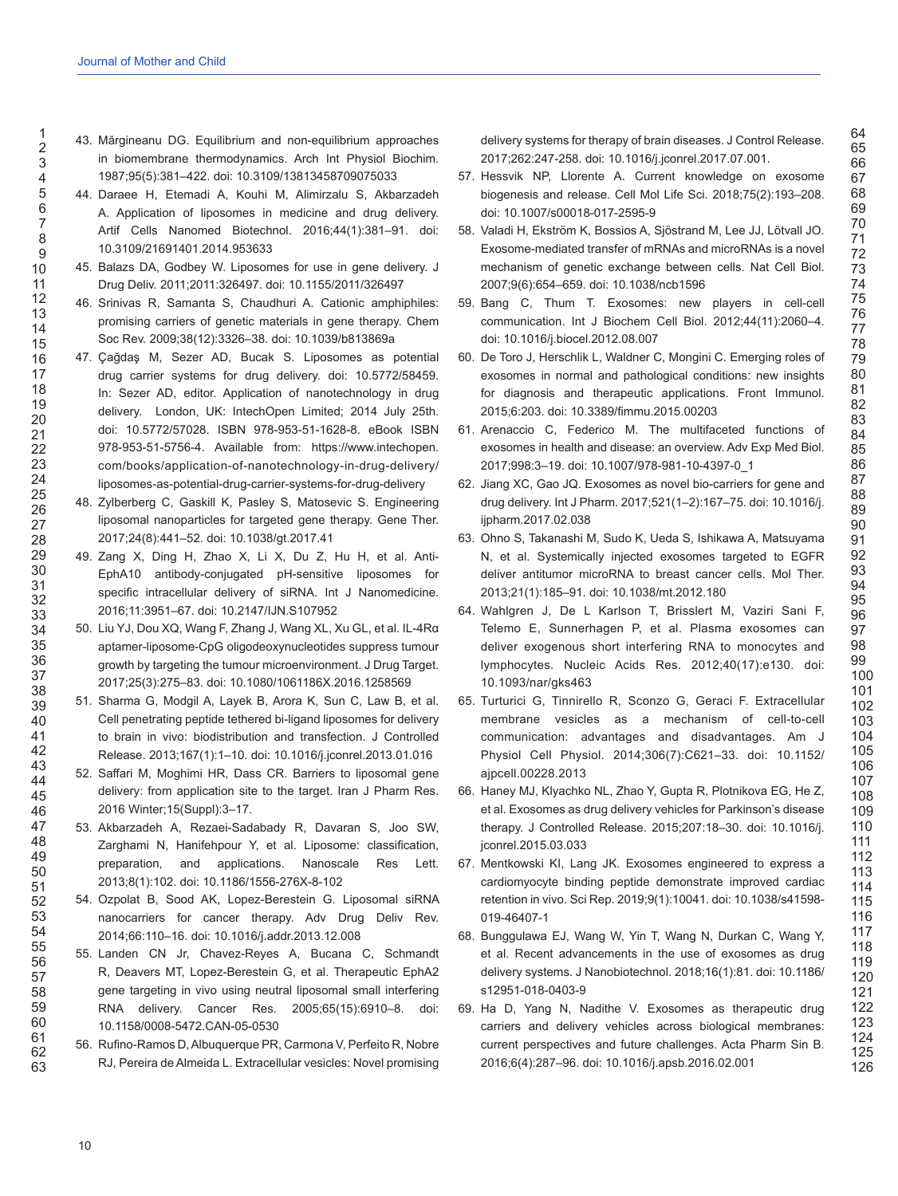- 43. Mărgineanu DG. Equilibrium and non-equilibrium approaches in biomembrane thermodynamics. Arch Int Physiol Biochim. 1987;95(5):381–422. doi: 10.3109/13813458709075033
- 44. Daraee H, Etemadi A, Kouhi M, Alimirzalu S, Akbarzadeh A. Application of liposomes in medicine and drug delivery. Artif Cells Nanomed Biotechnol. 2016;44(1):381–91. doi: 10.3109/21691401.2014.953633
- 45. Balazs DA, Godbey W. Liposomes for use in gene delivery. J Drug Deliv. 2011;2011:326497. doi: 10.1155/2011/326497
- 46. Srinivas R, Samanta S, Chaudhuri A. Cationic amphiphiles: promising carriers of genetic materials in gene therapy. Chem Soc Rev. 2009;38(12):3326–38. doi: 10.1039/b813869a
- 47. Çağdaş M, Sezer AD, Bucak S. Liposomes as potential drug carrier systems for drug delivery. doi: 10.5772/58459. In: Sezer AD, editor. Application of nanotechnology in drug delivery. London, UK: IntechOpen Limited; 2014 July 25th. doi: 10.5772/57028. ISBN 978-953-51-1628-8. eBook ISBN 978-953-51-5756-4. Available from: https://www.intechopen. com/books/application-of-nanotechnology-in-drug-delivery/ liposomes-as-potential-drug-carrier-systems-for-drug-delivery
- 48. Zylberberg C, Gaskill K, Pasley S, Matosevic S. Engineering liposomal nanoparticles for targeted gene therapy. Gene Ther. 2017;24(8):441–52. doi: 10.1038/gt.2017.41
- 49. Zang X, Ding H, Zhao X, Li X, Du Z, Hu H, et al. Anti-EphA10 antibody-conjugated pH-sensitive liposomes for specific intracellular delivery of siRNA. Int J Nanomedicine. 2016;11:3951–67. doi: 10.2147/IJN.S107952
- 50. Liu YJ, Dou XQ, Wang F, Zhang J, Wang XL, Xu GL, et al. IL-4Rα aptamer-liposome-CpG oligodeoxynucleotides suppress tumour growth by targeting the tumour microenvironment. J Drug Target. 2017;25(3):275–83. doi: 10.1080/1061186X.2016.1258569
- 51. Sharma G, Modgil A, Layek B, Arora K, Sun C, Law B, et al. Cell penetrating peptide tethered bi-ligand liposomes for delivery to brain in vivo: biodistribution and transfection. J Controlled Release. 2013;167(1):1–10. doi: 10.1016/j.jconrel.2013.01.016
- 52. Saffari M, Moghimi HR, Dass CR. Barriers to liposomal gene delivery: from application site to the target. Iran J Pharm Res. 2016 Winter;15(Suppl):3–17.
- 53. Akbarzadeh A, Rezaei-Sadabady R, Davaran S, Joo SW, Zarghami N, Hanifehpour Y, et al. Liposome: classification, preparation, and applications. Nanoscale Res Lett. 2013;8(1):102. doi: 10.1186/1556-276X-8-102
- 54. Ozpolat B, Sood AK, Lopez-Berestein G. Liposomal siRNA nanocarriers for cancer therapy. Adv Drug Deliv Rev. 2014;66:110–16. doi: 10.1016/j.addr.2013.12.008
- 55. Landen CN Jr, Chavez-Reyes A, Bucana C, Schmandt R, Deavers MT, Lopez-Berestein G, et al. Therapeutic EphA2 gene targeting in vivo using neutral liposomal small interfering RNA delivery. Cancer Res. 2005;65(15):6910–8. doi: 10.1158/0008-5472.CAN-05-0530
- 56. Rufino-Ramos D, Albuquerque PR, Carmona V, Perfeito R, Nobre RJ, Pereira de Almeida L. Extracellular vesicles: Novel promising

delivery systems for therapy of brain diseases. J Control Release. 2017;262:247-258. doi: 10.1016/j.jconrel.2017.07.001.

- 57. Hessvik NP, Llorente A. Current knowledge on exosome biogenesis and release. Cell Mol Life Sci. 2018;75(2):193–208. doi: 10.1007/s00018-017-2595-9
- 58. Valadi H, Ekström K, Bossios A, Sjöstrand M, Lee JJ, Lötvall JO. Exosome-mediated transfer of mRNAs and microRNAs is a novel mechanism of genetic exchange between cells. Nat Cell Biol. 2007;9(6):654–659. doi: 10.1038/ncb1596
- 59. Bang C, Thum T. Exosomes: new players in cell-cell communication. Int J Biochem Cell Biol. 2012;44(11):2060–4. doi: 10.1016/j.biocel.2012.08.007
- 60. De Toro J, Herschlik L, Waldner C, Mongini C. Emerging roles of exosomes in normal and pathological conditions: new insights for diagnosis and therapeutic applications. Front Immunol. 2015;6:203. doi: 10.3389/fimmu.2015.00203
- 61. Arenaccio C, Federico M. The multifaceted functions of exosomes in health and disease: an overview. Adv Exp Med Biol. 2017;998:3–19. doi: 10.1007/978-981-10-4397-0\_1
- 62. Jiang XC, Gao JQ. Exosomes as novel bio-carriers for gene and drug delivery. Int J Pharm. 2017;521(1–2):167–75. doi: 10.1016/j. ijpharm.2017.02.038
- 63. Ohno S, Takanashi M, Sudo K, Ueda S, Ishikawa A, Matsuyama N, et al. Systemically injected exosomes targeted to EGFR deliver antitumor microRNA to breast cancer cells. Mol Ther. 2013;21(1):185–91. doi: 10.1038/mt.2012.180
- 64. Wahlgren J, De L Karlson T, Brisslert M, Vaziri Sani F, Telemo E, Sunnerhagen P, et al. Plasma exosomes can deliver exogenous short interfering RNA to monocytes and lymphocytes. Nucleic Acids Res. 2012;40(17):e130. doi: 10.1093/nar/gks463
- 65. Turturici G, Tinnirello R, Sconzo G, Geraci F. Extracellular membrane vesicles as a mechanism of cell-to-cell communication: advantages and disadvantages. Am J Physiol Cell Physiol. 2014;306(7):C621–33. doi: 10.1152/ ajpcell.00228.2013
- 66. Haney MJ, Klyachko NL, Zhao Y, Gupta R, Plotnikova EG, He Z, et al. Exosomes as drug delivery vehicles for Parkinson's disease therapy. J Controlled Release. 2015;207:18–30. doi: 10.1016/j. jconrel.2015.03.033
- 67. Mentkowski KI, Lang JK. Exosomes engineered to express a cardiomyocyte binding peptide demonstrate improved cardiac retention in vivo. Sci Rep. 2019;9(1):10041. doi: 10.1038/s41598- 019-46407-1
- 68. Bunggulawa EJ, Wang W, Yin T, Wang N, Durkan C, Wang Y, et al. Recent advancements in the use of exosomes as drug delivery systems. J Nanobiotechnol. 2018;16(1):81. doi: 10.1186/ s12951-018-0403-9
- 69. Ha D, Yang N, Nadithe V. Exosomes as therapeutic drug carriers and delivery vehicles across biological membranes: current perspectives and future challenges. Acta Pharm Sin B. 2016;6(4):287–96. doi: 10.1016/j.apsb.2016.02.001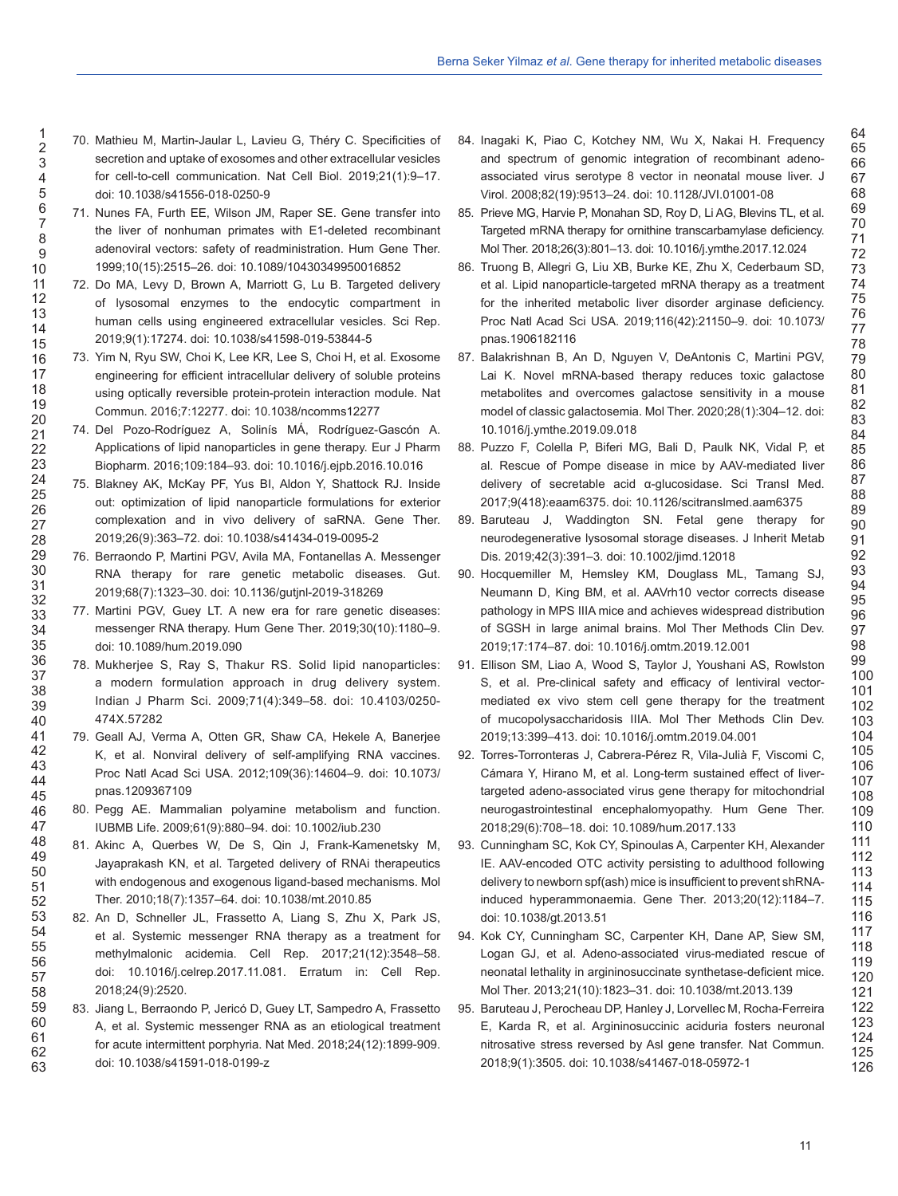- 70. Mathieu M, Martin-Jaular L, Lavieu G, Théry C. Specificities of secretion and uptake of exosomes and other extracellular vesicles for cell-to-cell communication. Nat Cell Biol. 2019;21(1):9–17. doi: 10.1038/s41556-018-0250-9
- 71. Nunes FA, Furth EE, Wilson JM, Raper SE. Gene transfer into the liver of nonhuman primates with E1-deleted recombinant adenoviral vectors: safety of readministration. Hum Gene Ther. 1999;10(15):2515–26. doi: 10.1089/10430349950016852
- 72. Do MA, Levy D, Brown A, Marriott G, Lu B. Targeted delivery of lysosomal enzymes to the endocytic compartment in human cells using engineered extracellular vesicles. Sci Rep. 2019;9(1):17274. doi: 10.1038/s41598-019-53844-5
- 73. Yim N, Ryu SW, Choi K, Lee KR, Lee S, Choi H, et al. Exosome engineering for efficient intracellular delivery of soluble proteins using optically reversible protein-protein interaction module. Nat Commun. 2016;7:12277. doi: 10.1038/ncomms12277
- 74. Del Pozo-Rodríguez A, Solinís MÁ, Rodríguez-Gascón A. Applications of lipid nanoparticles in gene therapy. Eur J Pharm Biopharm. 2016;109:184–93. doi: 10.1016/j.ejpb.2016.10.016
- 75. Blakney AK, McKay PF, Yus BI, Aldon Y, Shattock RJ. Inside out: optimization of lipid nanoparticle formulations for exterior complexation and in vivo delivery of saRNA. Gene Ther. 2019;26(9):363–72. doi: 10.1038/s41434-019-0095-2
- 76. Berraondo P, Martini PGV, Avila MA, Fontanellas A. Messenger RNA therapy for rare genetic metabolic diseases. Gut. 2019;68(7):1323–30. doi: 10.1136/gutjnl-2019-318269
- 77. Martini PGV, Guey LT. A new era for rare genetic diseases: messenger RNA therapy. Hum Gene Ther. 2019;30(10):1180–9. doi: 10.1089/hum.2019.090
- 78. Mukherjee S, Ray S, Thakur RS. Solid lipid nanoparticles: a modern formulation approach in drug delivery system. Indian J Pharm Sci. 2009;71(4):349–58. doi: 10.4103/0250- 474X.57282
- 79. Geall AJ, Verma A, Otten GR, Shaw CA, Hekele A, Banerjee K, et al. Nonviral delivery of self-amplifying RNA vaccines. Proc Natl Acad Sci USA. 2012;109(36):14604–9. doi: 10.1073/ pnas.1209367109
- 80. Pegg AE. Mammalian polyamine metabolism and function. IUBMB Life. 2009;61(9):880–94. doi: 10.1002/iub.230
- 81. Akinc A, Querbes W, De S, Qin J, Frank-Kamenetsky M, Jayaprakash KN, et al. Targeted delivery of RNAi therapeutics with endogenous and exogenous ligand-based mechanisms. Mol Ther. 2010;18(7):1357–64. doi: 10.1038/mt.2010.85
- 82. An D, Schneller JL, Frassetto A, Liang S, Zhu X, Park JS, et al. Systemic messenger RNA therapy as a treatment for methylmalonic acidemia. Cell Rep. 2017;21(12):3548–58. doi: 10.1016/j.celrep.2017.11.081. Erratum in: Cell Rep. 2018;24(9):2520.
- 83. Jiang L, Berraondo P, Jericó D, Guey LT, Sampedro A, Frassetto A, et al. Systemic messenger RNA as an etiological treatment for acute intermittent porphyria. Nat Med. 2018;24(12):1899-909. doi: 10.1038/s41591-018-0199-z

84. Inagaki K, Piao C, Kotchey NM, Wu X, Nakai H. Frequency and spectrum of genomic integration of recombinant adenoassociated virus serotype 8 vector in neonatal mouse liver. J Virol. 2008;82(19):9513–24. doi: 10.1128/JVI.01001-08

- 85. Prieve MG, Harvie P, Monahan SD, Roy D, Li AG, Blevins TL, et al. Targeted mRNA therapy for ornithine transcarbamylase deficiency. Mol Ther. 2018;26(3):801–13. doi: 10.1016/j.ymthe.2017.12.024
- 86. Truong B, Allegri G, Liu XB, Burke KE, Zhu X, Cederbaum SD, et al. Lipid nanoparticle-targeted mRNA therapy as a treatment for the inherited metabolic liver disorder arginase deficiency. Proc Natl Acad Sci USA. 2019;116(42):21150–9. doi: 10.1073/ pnas.1906182116
- 87. Balakrishnan B, An D, Nguyen V, DeAntonis C, Martini PGV, Lai K. Novel mRNA-based therapy reduces toxic galactose metabolites and overcomes galactose sensitivity in a mouse model of classic galactosemia. Mol Ther. 2020;28(1):304–12. doi: 10.1016/j.ymthe.2019.09.018
- 88. Puzzo F, Colella P, Biferi MG, Bali D, Paulk NK, Vidal P, et al. Rescue of Pompe disease in mice by AAV-mediated liver delivery of secretable acid α-glucosidase. Sci Transl Med. 2017;9(418):eaam6375. doi: 10.1126/scitranslmed.aam6375
- 89. Baruteau J, Waddington SN. Fetal gene therapy for neurodegenerative lysosomal storage diseases. J Inherit Metab Dis. 2019;42(3):391–3. doi: 10.1002/jimd.12018
- 90. Hocquemiller M, Hemsley KM, Douglass ML, Tamang SJ, Neumann D, King BM, et al. AAVrh10 vector corrects disease pathology in MPS IIIA mice and achieves widespread distribution of SGSH in large animal brains. Mol Ther Methods Clin Dev. 2019;17:174–87. doi: 10.1016/j.omtm.2019.12.001
- 91. Ellison SM, Liao A, Wood S, Taylor J, Youshani AS, Rowlston S, et al. Pre-clinical safety and efficacy of lentiviral vectormediated ex vivo stem cell gene therapy for the treatment of mucopolysaccharidosis IIIA. Mol Ther Methods Clin Dev. 2019;13:399–413. doi: 10.1016/j.omtm.2019.04.001
- 92. Torres-Torronteras J, Cabrera-Pérez R, Vila-Julià F, Viscomi C, Cámara Y, Hirano M, et al. Long-term sustained effect of livertargeted adeno-associated virus gene therapy for mitochondrial neurogastrointestinal encephalomyopathy. Hum Gene Ther. 2018;29(6):708–18. doi: 10.1089/hum.2017.133
- 93. Cunningham SC, Kok CY, Spinoulas A, Carpenter KH, Alexander IE. AAV-encoded OTC activity persisting to adulthood following delivery to newborn spf(ash) mice is insufficient to prevent shRNAinduced hyperammonaemia. Gene Ther. 2013;20(12):1184–7. doi: 10.1038/gt.2013.51
- 94. Kok CY, Cunningham SC, Carpenter KH, Dane AP, Siew SM, Logan GJ, et al. Adeno-associated virus-mediated rescue of neonatal lethality in argininosuccinate synthetase-deficient mice. Mol Ther. 2013;21(10):1823–31. doi: 10.1038/mt.2013.139
- 95. Baruteau J, Perocheau DP, Hanley J, Lorvellec M, Rocha-Ferreira E, Karda R, et al. Argininosuccinic aciduria fosters neuronal nitrosative stress reversed by Asl gene transfer. Nat Commun. 2018;9(1):3505. doi: 10.1038/s41467-018-05972-1